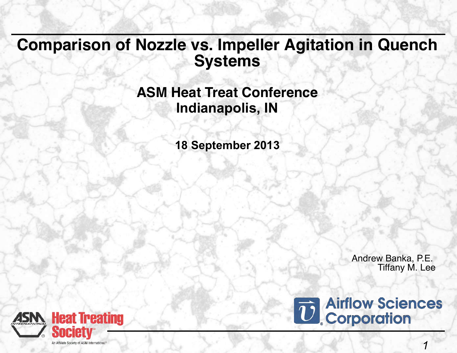### **Comparison of Nozzle vs. Impeller Agitation in Quench Systems**

### **ASM Heat Treat Conference Indianapolis, IN**

**18 September 2013**

Andrew Banka, P.E. Tiffany M. Lee



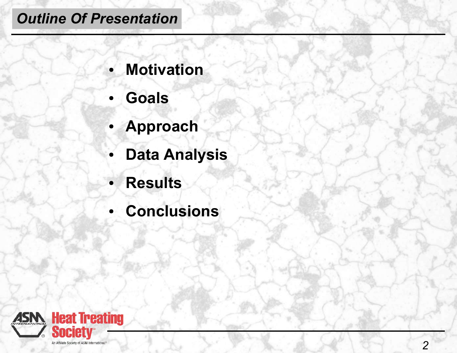# *Outline Of Presentation*

- **Motivation**
- **Goals**
- **Approach**
- **Data Analysis**
- **Results**
- **Conclusions**

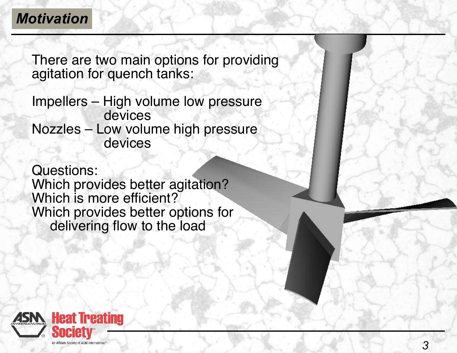## *Motivation*

There are two main options for providing agitation for quench tanks:

Impellers – High volume low pressure devices Nozzles – Low volume high pressure devices

Questions: Which provides better agitation? Which is more efficient? Which provides better options for delivering flow to the load

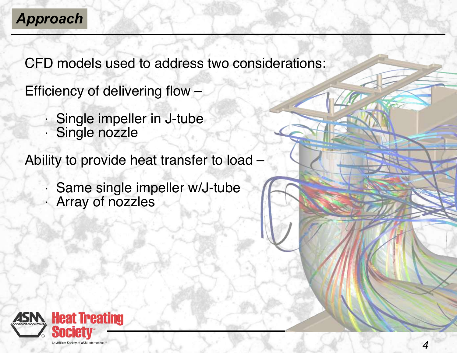# *Approach*

CFD models used to address two considerations:

Efficiency of delivering flow –

• Single impeller in J-tube • Single nozzle

Ability to provide heat transfer to load –

Same single impeller w/J-tube • Array of nozzles

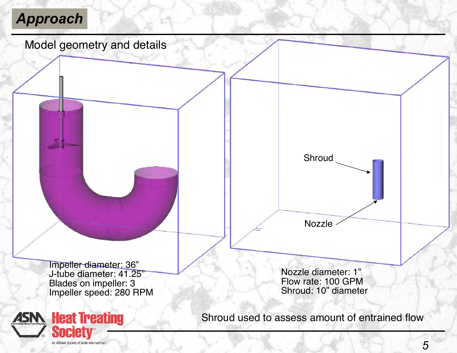# *Approach*





Shroud used to assess amount of entrained flow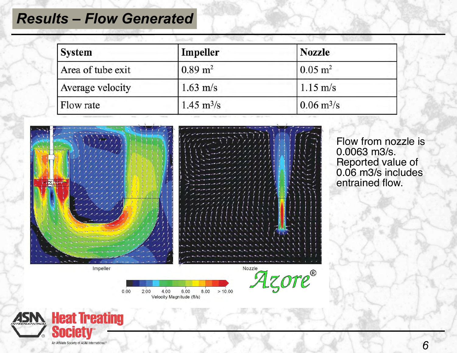### *Results – Flow Generated*

| <b>System</b>     | Impeller                    | <b>Nozzle</b>               |
|-------------------|-----------------------------|-----------------------------|
| Area of tube exit | $0.89 \text{ m}^2$          | $0.05 \text{ m}^2$          |
| Average velocity  | $1.63 \text{ m/s}$          | $1.15 \text{ m/s}$          |
| Flow rate         | $1.45 \text{ m}^3/\text{s}$ | $0.06 \text{ m}^3/\text{s}$ |



Flow from nozzle is 0.0063 m3/s. Reported value of 0.06 m3/s includes entrained flow.

 $0.00$ 2.00 4.00 6.00 8.00  $>10.00$ Velocity Magnitude (ft/s)

Azore®

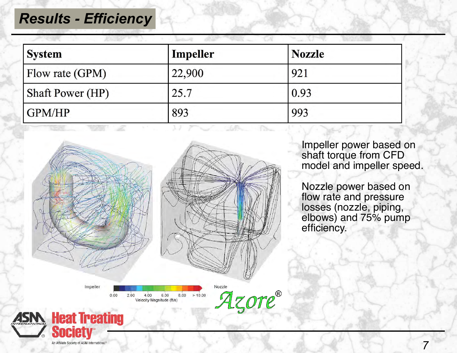#### *Results - Efficiency*

| <b>System</b>           | Impeller | <b>Nozzle</b> |  |
|-------------------------|----------|---------------|--|
| Flow rate (GPM)         | 22,900   | 921           |  |
| <b>Shaft Power (HP)</b> | 25.7     | 0.93          |  |
| GPM/HP                  | 893      | 993           |  |



Impeller power based on shaft torque from CFD model and impeller speed.

Nozzle power based on flow rate and pressure losses (nozzle, piping, elbows) and 75% pump efficiency.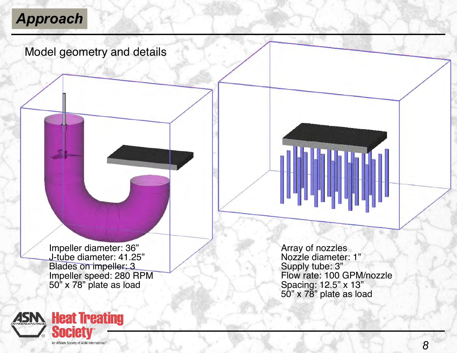# *Approach*

#### Model geometry and details

Impeller diameter: 36" J-tube diameter: 41.25" Blades on impeller: 3 Impeller speed: 280 RPM 50" x 78" plate as load

Array of nozzles Nozzle diameter: 1" Supply tube: 3" Flow rate: 100 GPM/nozzle Spacing: 12.5" x 13" 50" x 78" plate as load

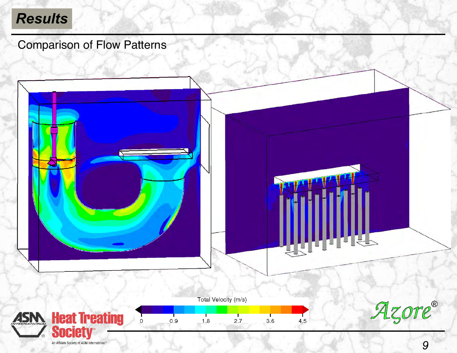# *Results*

Comparison of Flow Patterns

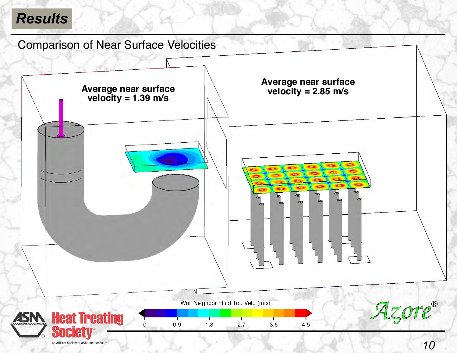# *Results*

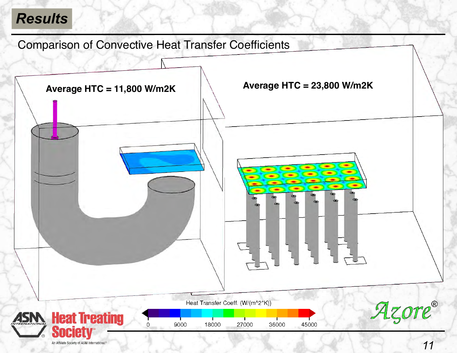## *Results*

Comparison of Convective Heat Transfer Coefficients